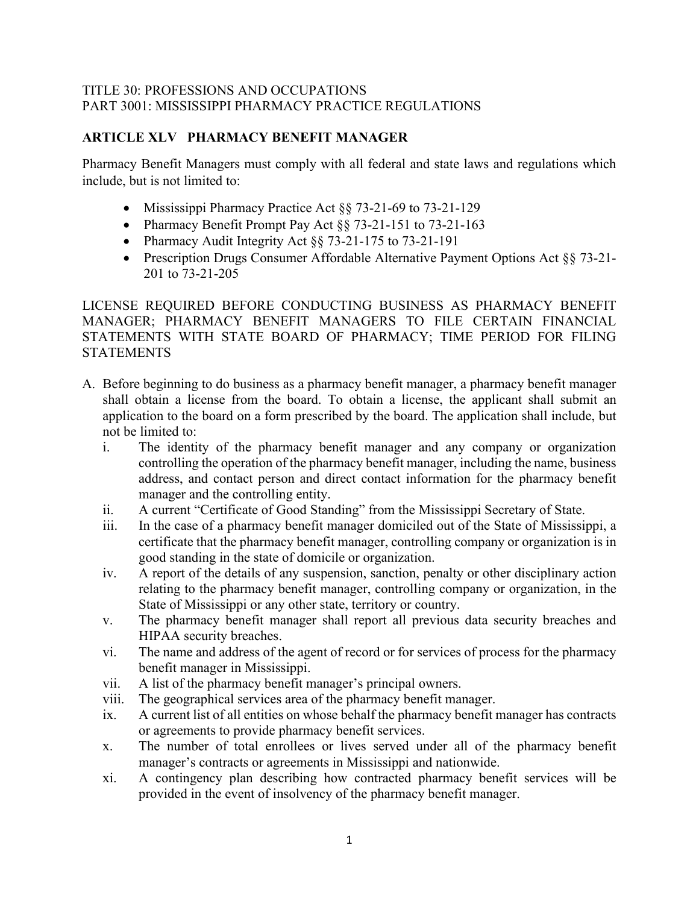## TITLE 30: PROFESSIONS AND OCCUPATIONS PART 3001: MISSISSIPPI PHARMACY PRACTICE REGULATIONS

## **ARTICLE XLV PHARMACY BENEFIT MANAGER**

Pharmacy Benefit Managers must comply with all federal and state laws and regulations which include, but is not limited to:

- Mississippi Pharmacy Practice Act §§ 73-21-69 to 73-21-129
- Pharmacy Benefit Prompt Pay Act §§ 73-21-151 to 73-21-163
- Pharmacy Audit Integrity Act §§ 73-21-175 to 73-21-191
- Prescription Drugs Consumer Affordable Alternative Payment Options Act §§ 73-21-201 to 73-21-205

## LICENSE REQUIRED BEFORE CONDUCTING BUSINESS AS PHARMACY BENEFIT MANAGER; PHARMACY BENEFIT MANAGERS TO FILE CERTAIN FINANCIAL STATEMENTS WITH STATE BOARD OF PHARMACY; TIME PERIOD FOR FILING **STATEMENTS**

- A. Before beginning to do business as a pharmacy benefit manager, a pharmacy benefit manager shall obtain a license from the board. To obtain a license, the applicant shall submit an application to the board on a form prescribed by the board. The application shall include, but not be limited to:
	- i. The identity of the pharmacy benefit manager and any company or organization controlling the operation of the pharmacy benefit manager, including the name, business address, and contact person and direct contact information for the pharmacy benefit manager and the controlling entity.
	- ii. A current "Certificate of Good Standing" from the Mississippi Secretary of State.
	- iii. In the case of a pharmacy benefit manager domiciled out of the State of Mississippi, a certificate that the pharmacy benefit manager, controlling company or organization is in good standing in the state of domicile or organization.
	- iv. A report of the details of any suspension, sanction, penalty or other disciplinary action relating to the pharmacy benefit manager, controlling company or organization, in the State of Mississippi or any other state, territory or country.
	- v. The pharmacy benefit manager shall report all previous data security breaches and HIPAA security breaches.
	- vi. The name and address of the agent of record or for services of process for the pharmacy benefit manager in Mississippi.
	- vii. A list of the pharmacy benefit manager's principal owners.
	- viii. The geographical services area of the pharmacy benefit manager.
	- ix. A current list of all entities on whose behalf the pharmacy benefit manager has contracts or agreements to provide pharmacy benefit services.
	- x. The number of total enrollees or lives served under all of the pharmacy benefit manager's contracts or agreements in Mississippi and nationwide.
	- xi. A contingency plan describing how contracted pharmacy benefit services will be provided in the event of insolvency of the pharmacy benefit manager.